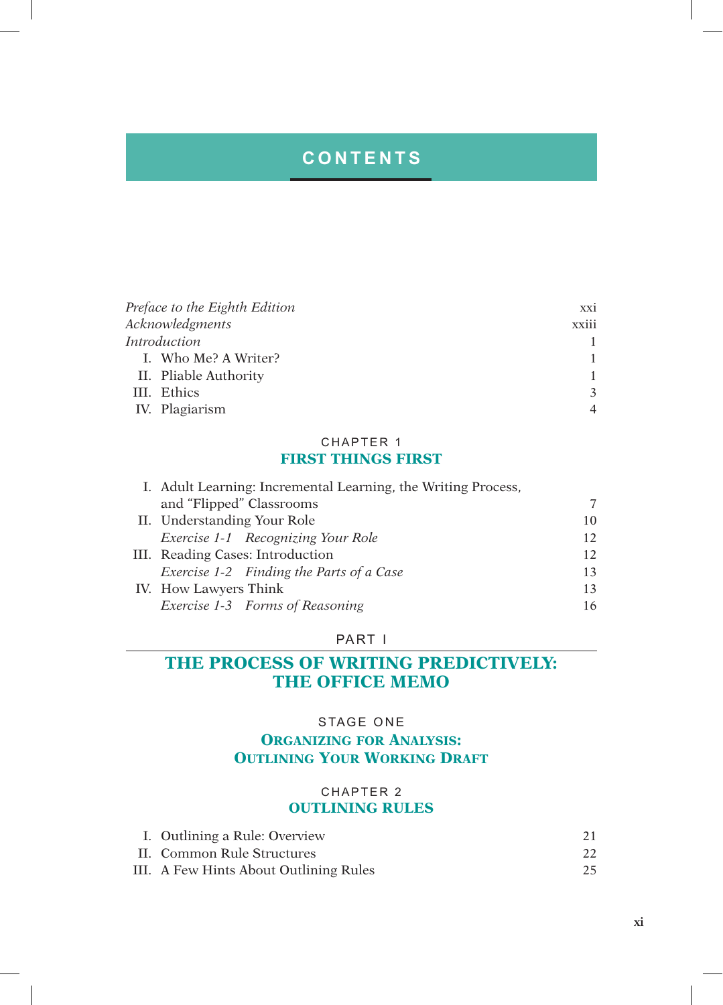# **CONTENTS**

| Preface to the Eighth Edition | XX1   |
|-------------------------------|-------|
| Acknowledgments               | xxiii |
| Introduction                  |       |
| I. Who Me? A Writer?          |       |
| II. Pliable Authority         |       |
| III. Ethics                   |       |
| IV. Plagiarism                |       |

### CHAPTER 1 **FIRST THINGS FIRST**

| I. Adult Learning: Incremental Learning, the Writing Process, |    |
|---------------------------------------------------------------|----|
| and "Flipped" Classrooms                                      | 7  |
| II. Understanding Your Role                                   | 10 |
| Exercise 1-1 Recognizing Your Role                            | 12 |
| III. Reading Cases: Introduction                              | 12 |
| Exercise 1-2 Finding the Parts of a Case                      | 13 |
| IV. How Lawyers Think                                         | 13 |
| Exercise 1-3 Forms of Reasoning                               | 16 |
|                                                               |    |

### PART I

# **THE PROCESS OF WRITING PREDICTIVELY: THE OFFICE MEMO**

## STAGE ONE

## **Organizing for Analysis: OUTLINING YOUR WORKING DRAFT**

### CHAPTER 2 **OUTLINING RULES**

| I. Outlining a Rule: Overview          |    |
|----------------------------------------|----|
| II. Common Rule Structures             | 22 |
| III. A Few Hints About Outlining Rules | 25 |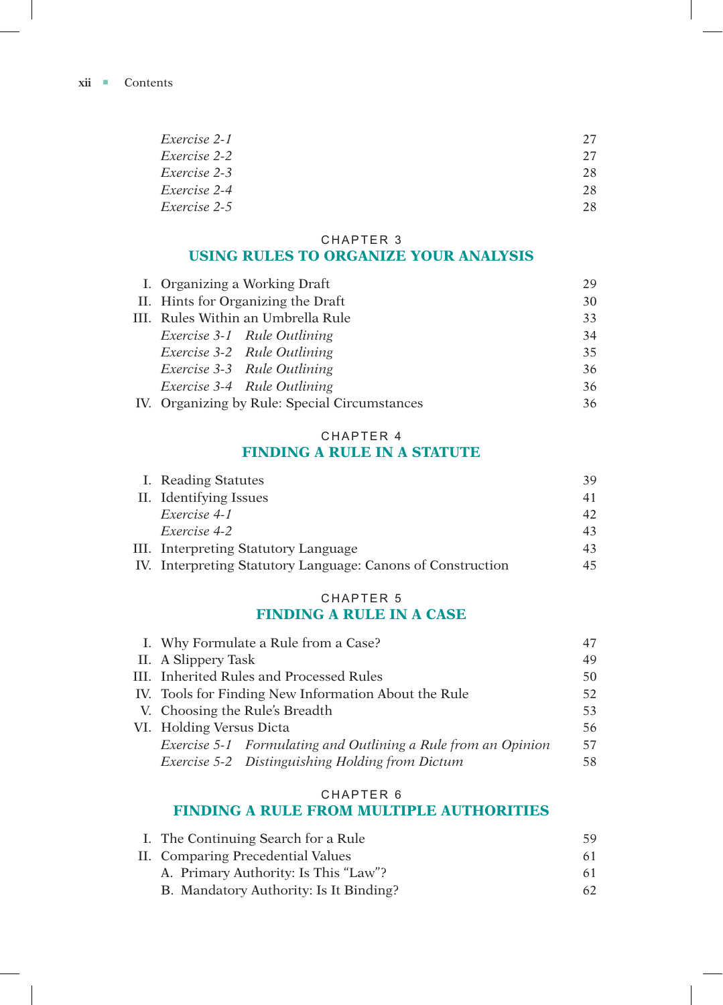**xii c**ontents

| Exercise 2-1 | 27 |
|--------------|----|
| Exercise 2-2 | 27 |
| Exercise 2-3 | 28 |
| Exercise 2-4 | 28 |
| Exercise 2-5 | 28 |

#### CHAPTER 3

## **USING RULES TO ORGANIZE YOUR ANALYSIS**

| I. Organizing a Working Draft                 | 29 |
|-----------------------------------------------|----|
| II. Hints for Organizing the Draft            | 30 |
| III. Rules Within an Umbrella Rule            | 33 |
| Exercise 3-1 Rule Outlining                   | 34 |
| Exercise 3-2 Rule Outlining                   | 35 |
| Exercise 3-3 Rule Outlining                   | 36 |
| Exercise 3-4 Rule Outlining                   | 36 |
| IV. Organizing by Rule: Special Circumstances | 36 |

## CHAPTER 4 **FINDING A RULE IN A STATUTE**

| I. Reading Statutes                                         | 39 |
|-------------------------------------------------------------|----|
| II. Identifying Issues                                      | 41 |
| Exercise 4-1                                                | 42 |
| Exercise 4-2                                                | 43 |
| III. Interpreting Statutory Language                        | 43 |
| IV. Interpreting Statutory Language: Canons of Construction | 45 |
|                                                             |    |

### CHAPTER 5 **FINDING A RULE IN A CASE**

| I. Why Formulate a Rule from a Case?                          | 47 |
|---------------------------------------------------------------|----|
| II. A Slippery Task                                           | 49 |
| III. Inherited Rules and Processed Rules                      | 50 |
| IV. Tools for Finding New Information About the Rule          | 52 |
| V. Choosing the Rule's Breadth                                | 53 |
| VI. Holding Versus Dicta                                      | 56 |
| Exercise 5-1 Formulating and Outlining a Rule from an Opinion | 57 |
| Exercise 5-2 Distinguishing Holding from Dictum               | 58 |
|                                                               |    |

### CHAPTER 6

## **FINDING A RULE FROM MULTIPLE AUTHORITIES**

| I. The Continuing Search for a Rule    | 59 |
|----------------------------------------|----|
| II. Comparing Precedential Values      | 61 |
| A. Primary Authority: Is This "Law"?   | 61 |
| B. Mandatory Authority: Is It Binding? | 62 |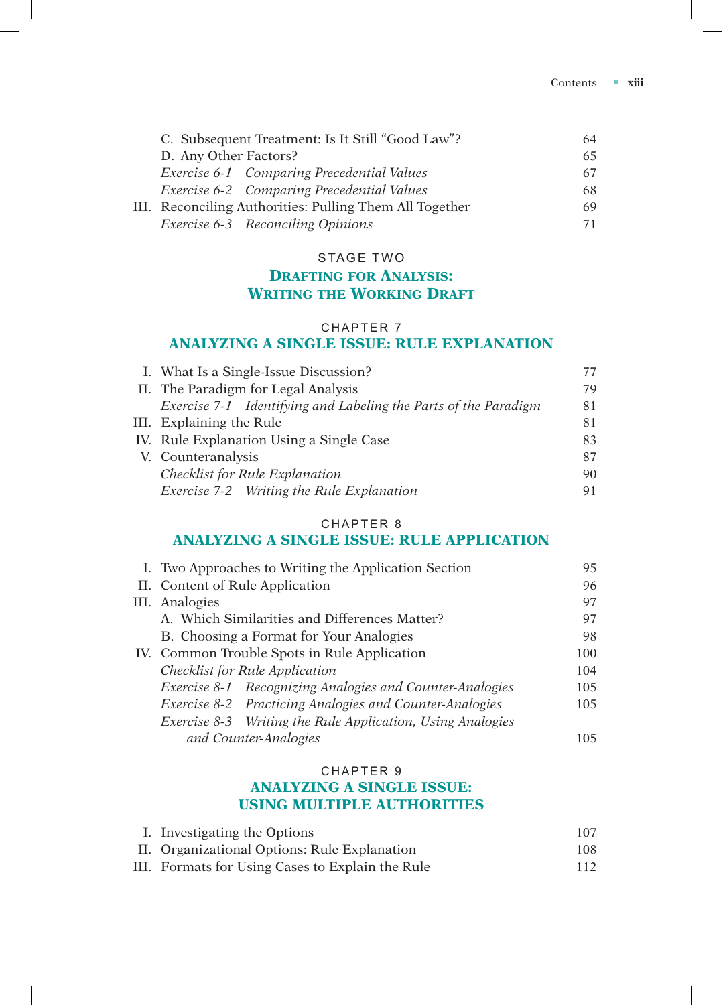| C. Subsequent Treatment: Is It Still "Good Law"?        | 64 |
|---------------------------------------------------------|----|
| D. Any Other Factors?                                   | 65 |
| Exercise 6-1 Comparing Precedential Values              | 67 |
| Exercise 6-2 Comparing Precedential Values              | 68 |
| III. Reconciling Authorities: Pulling Them All Together | 69 |
| Exercise 6-3 Reconciling Opinions                       | 71 |

#### STAGE TWO

# **Drafting for Analysis: Writing the Working Draft**

## CHAPTER 7 **ANALYZING A SINGLE ISSUE: RULE EXPLANATION**

| I. What Is a Single-Issue Discussion?                           | 77 |
|-----------------------------------------------------------------|----|
| II. The Paradigm for Legal Analysis                             | 79 |
| Exercise 7-1 Identifying and Labeling the Parts of the Paradigm | 81 |
| III. Explaining the Rule                                        | 81 |
| IV. Rule Explanation Using a Single Case                        | 83 |
| V. Counteranalysis                                              | 87 |
| Checklist for Rule Explanation                                  | 90 |
| Exercise 7-2 Writing the Rule Explanation                       | 91 |

### CHAPTER 8 **ANALYZING A SINGLE ISSUE: RULE APPLICATION**

| I. Two Approaches to Writing the Application Section       | 95   |
|------------------------------------------------------------|------|
| II. Content of Rule Application                            | 96   |
| III. Analogies                                             | 97   |
| A. Which Similarities and Differences Matter?              | 97   |
| B. Choosing a Format for Your Analogies                    | 98   |
| IV. Common Trouble Spots in Rule Application               | 100  |
| Checklist for Rule Application                             | 104  |
| Exercise 8-1 Recognizing Analogies and Counter-Analogies   | 105  |
| Exercise 8-2 Practicing Analogies and Counter-Analogies    | 105  |
| Exercise 8-3 Writing the Rule Application, Using Analogies |      |
| and Counter-Analogies                                      | 105. |

#### CHAPTER 9

### **ANALYZING A SINGLE ISSUE: USING MULTIPLE AUTHORITIES**

| I. Investigating the Options                     | 107 |
|--------------------------------------------------|-----|
| II. Organizational Options: Rule Explanation     | 108 |
| III. Formats for Using Cases to Explain the Rule | 112 |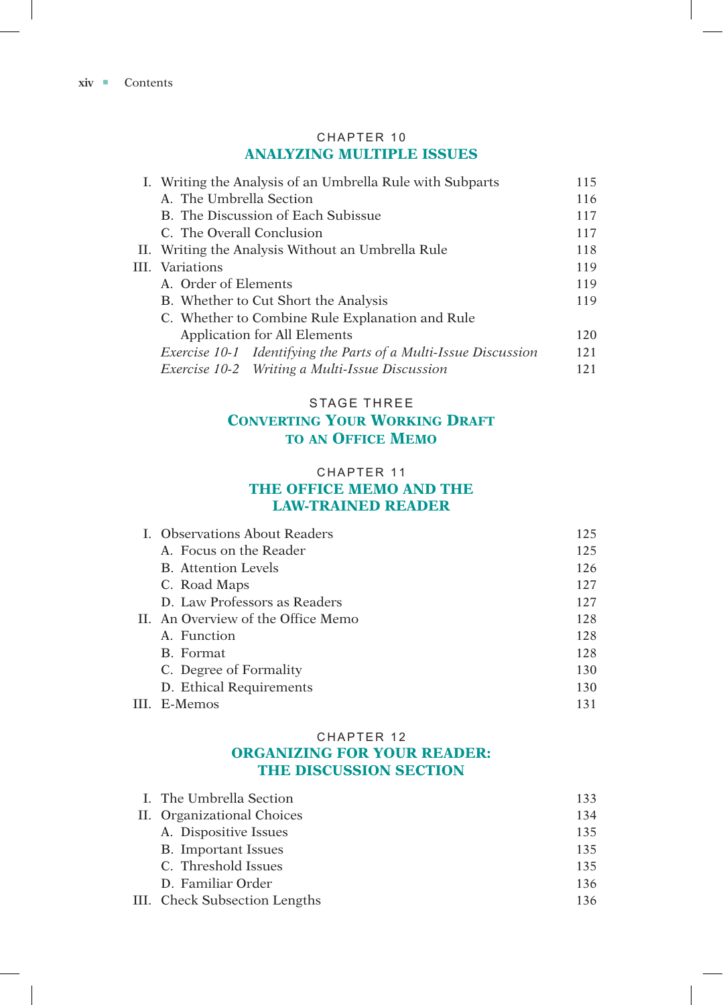### CHAPTER 10 **ANALYZING MULTIPLE ISSUES**

| I. Writing the Analysis of an Umbrella Rule with Subparts       | 115 |
|-----------------------------------------------------------------|-----|
| A. The Umbrella Section                                         | 116 |
| B. The Discussion of Each Subissue                              | 117 |
| C. The Overall Conclusion                                       | 117 |
| II. Writing the Analysis Without an Umbrella Rule               | 118 |
| III. Variations                                                 | 119 |
| A. Order of Elements                                            | 119 |
| B. Whether to Cut Short the Analysis                            | 119 |
| C. Whether to Combine Rule Explanation and Rule                 |     |
| Application for All Elements                                    | 120 |
| Exercise 10-1 Identifying the Parts of a Multi-Issue Discussion | 121 |
| Exercise 10-2 Writing a Multi-Issue Discussion                  | 121 |

# STAGE THREE **Converting Your Working Draft to an Office Memo**

### CHAPTER 11 **THE OFFICE MEMO AND THE LAW-TRAINED READER**

| L. Observations About Readers      | 125 |
|------------------------------------|-----|
| A. Focus on the Reader             | 125 |
| <b>B.</b> Attention Levels         | 126 |
| C. Road Maps                       | 127 |
| D. Law Professors as Readers       | 127 |
| II. An Overview of the Office Memo | 128 |
| A. Function                        | 128 |
| B. Format                          | 128 |
| C. Degree of Formality             | 130 |
| D. Ethical Requirements            | 130 |
| III. E-Memos                       | 131 |

### CHAPTER 12 **ORGANIZING FOR YOUR READER: THE DISCUSSION SECTION**

| I. The Umbrella Section       | 133 |
|-------------------------------|-----|
| II. Organizational Choices    | 134 |
| A. Dispositive Issues         | 135 |
| <b>B.</b> Important Issues    | 135 |
| C. Threshold Issues           | 135 |
| D. Familiar Order             | 136 |
| III. Check Subsection Lengths | 136 |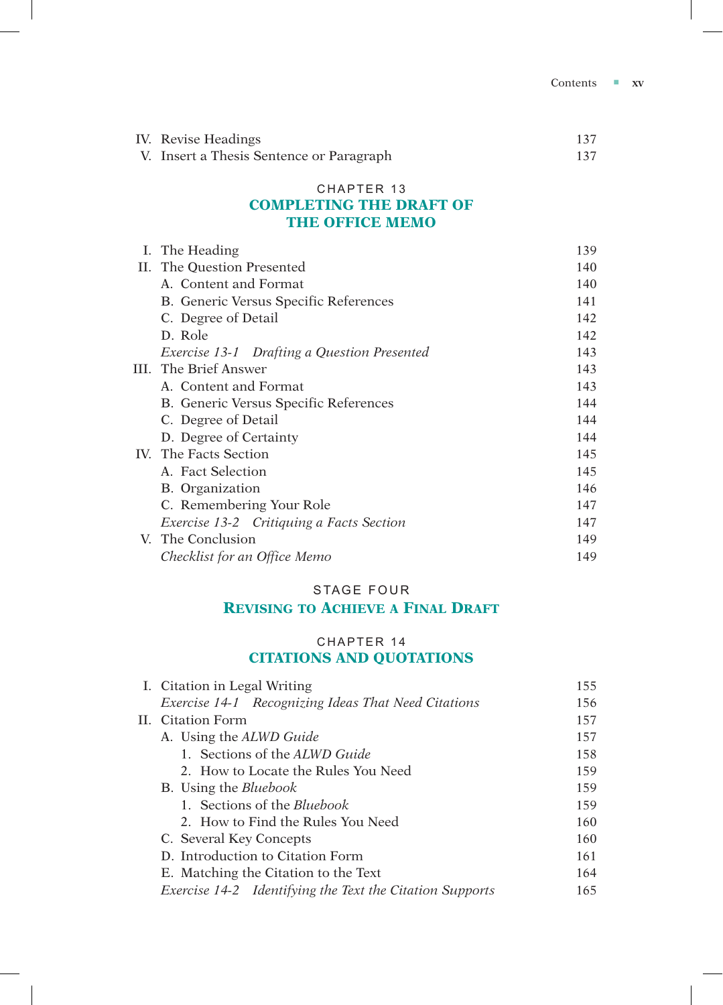| IV. Revise Headings                      |     |
|------------------------------------------|-----|
| V. Insert a Thesis Sentence or Paragraph | 137 |

### CHAPTER 13 **COMPLETING THE DRAFT OF THE OFFICE MEMO**

| Ι. | The Heading                                 | 139 |
|----|---------------------------------------------|-----|
| П. | The Question Presented                      | 140 |
|    | A. Content and Format                       | 140 |
|    | B. Generic Versus Specific References       | 141 |
|    | C. Degree of Detail                         | 142 |
|    | D. Role                                     | 142 |
|    | Exercise 13-1 Drafting a Question Presented | 143 |
|    | III. The Brief Answer                       | 143 |
|    | A. Content and Format                       | 143 |
|    | B. Generic Versus Specific References       | 144 |
|    | C. Degree of Detail                         | 144 |
|    | D. Degree of Certainty                      | 144 |
|    | IV. The Facts Section                       | 145 |
|    | A. Fact Selection                           | 145 |
|    | B. Organization                             | 146 |
|    | C. Remembering Your Role                    | 147 |
|    | Exercise 13-2 Critiquing a Facts Section    | 147 |
|    | V. The Conclusion                           | 149 |
|    | Checklist for an Office Memo                | 149 |

### STAGE FOUR

# **Revising to Achieve a Final Draft**

## CHAPTER 14 **CITATIONS AND QUOTATIONS**

| I. Citation in Legal Writing                             | 155 |
|----------------------------------------------------------|-----|
| Exercise 14-1 Recognizing Ideas That Need Citations      | 156 |
| II. Citation Form                                        | 157 |
| A. Using the ALWD Guide                                  | 157 |
| 1. Sections of the ALWD Guide                            | 158 |
| 2. How to Locate the Rules You Need                      | 159 |
| <b>B.</b> Using the <i>Bluebook</i>                      | 159 |
| 1. Sections of the <i>Bluebook</i>                       | 159 |
| 2. How to Find the Rules You Need                        | 160 |
| C. Several Key Concepts                                  | 160 |
| D. Introduction to Citation Form                         | 161 |
| E. Matching the Citation to the Text                     | 164 |
| Exercise 14-2 Identifying the Text the Citation Supports | 165 |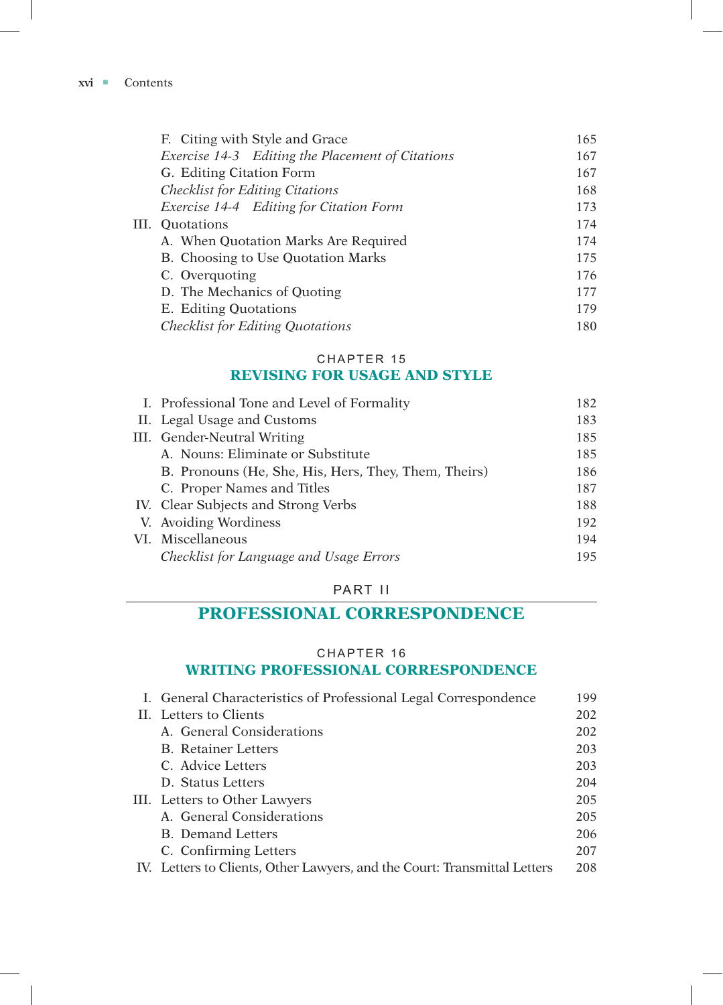| F. Citing with Style and Grace                   | 165 |
|--------------------------------------------------|-----|
| Exercise 14-3 Editing the Placement of Citations | 167 |
| G. Editing Citation Form                         | 167 |
| <b>Checklist for Editing Citations</b>           | 168 |
| Exercise 14-4 Editing for Citation Form          | 173 |
| III. Ouotations                                  | 174 |
| A. When Quotation Marks Are Required             | 174 |
| B. Choosing to Use Quotation Marks               | 175 |
| C. Overquoting                                   | 176 |
| D. The Mechanics of Quoting                      | 177 |
| E. Editing Quotations                            | 179 |
| <b>Checklist for Editing Quotations</b>          | 180 |
|                                                  |     |

### CHAPTER 15 **REVISING FOR USAGE AND STYLE**

| I. Professional Tone and Level of Formality          | 182 |
|------------------------------------------------------|-----|
| II. Legal Usage and Customs                          | 183 |
| III. Gender-Neutral Writing                          | 185 |
| A. Nouns: Eliminate or Substitute                    | 185 |
| B. Pronouns (He, She, His, Hers, They, Them, Theirs) | 186 |
| C. Proper Names and Titles                           | 187 |
| IV. Clear Subjects and Strong Verbs                  | 188 |
| V. Avoiding Wordiness                                | 192 |
| VI. Miscellaneous                                    | 194 |
| Checklist for Language and Usage Errors              | 195 |

# PART II

# **PROFESSIONAL CORRESPONDENCE**

### CHAPTER 16

## **WRITING PROFESSIONAL CORRESPONDENCE**

| I. General Characteristics of Professional Legal Correspondence           | 199 |
|---------------------------------------------------------------------------|-----|
| II. Letters to Clients                                                    | 202 |
| A. General Considerations                                                 | 202 |
| <b>B.</b> Retainer Letters                                                | 203 |
| C. Advice Letters                                                         | 203 |
| D. Status Letters                                                         | 204 |
| III. Letters to Other Lawyers                                             | 205 |
| A. General Considerations                                                 | 205 |
| <b>B.</b> Demand Letters                                                  | 206 |
| C. Confirming Letters                                                     | 207 |
| IV. Letters to Clients, Other Lawyers, and the Court: Transmittal Letters | 208 |
|                                                                           |     |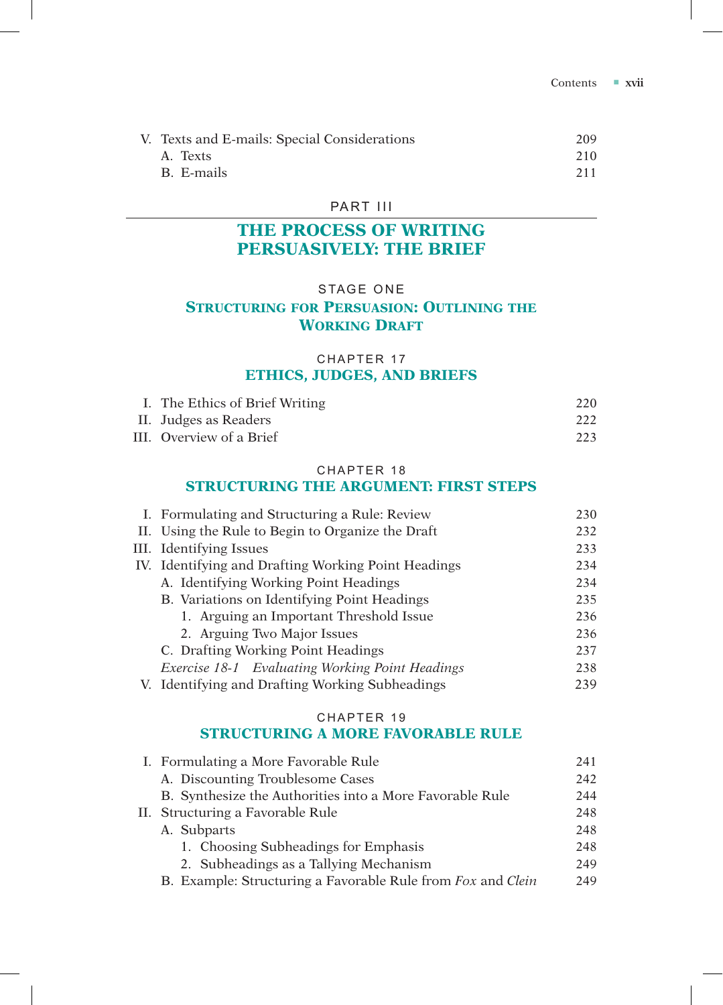| V. Texts and E-mails: Special Considerations | 209 |
|----------------------------------------------|-----|
| A. Texts                                     | 210 |
| B. E-mails                                   | 211 |

### PART III

# **THE PROCESS OF WRITING PERSUASIVELY: THE BRIEF**

### STAGE ONE

# **Structuring for Persuasion: Outlining the WORKING DRAFT**

### CHAPTER 17 **ETHICS, JUDGES, AND BRIEFS**

| I. The Ethics of Brief Writing | 220 |
|--------------------------------|-----|
| II. Judges as Readers          | 222 |
| III. Overview of a Brief       | 223 |

### CHAPTER 18

### **STRUCTURING THE ARGUMENT: FIRST STEPS**

| I. Formulating and Structuring a Rule: Review       | 230 |
|-----------------------------------------------------|-----|
| II. Using the Rule to Begin to Organize the Draft   | 232 |
| III. Identifying Issues                             | 233 |
| IV. Identifying and Drafting Working Point Headings | 234 |
| A. Identifying Working Point Headings               | 234 |
| B. Variations on Identifying Point Headings         | 235 |
| 1. Arguing an Important Threshold Issue             | 236 |
| 2. Arguing Two Major Issues                         | 236 |
| C. Drafting Working Point Headings                  | 237 |
| Exercise 18-1 Evaluating Working Point Headings     | 238 |
| V. Identifying and Drafting Working Subheadings     | 239 |

### CHAPTER 19

### **STRUCTURING A MORE FAVORABLE RULE**

| I. Formulating a More Favorable Rule                        | 241 |  |
|-------------------------------------------------------------|-----|--|
| A. Discounting Troublesome Cases                            | 242 |  |
| B. Synthesize the Authorities into a More Favorable Rule    | 244 |  |
| II. Structuring a Favorable Rule                            |     |  |
| A. Subparts                                                 | 248 |  |
| 1. Choosing Subheadings for Emphasis                        | 248 |  |
| 2. Subheadings as a Tallying Mechanism                      | 249 |  |
| B. Example: Structuring a Favorable Rule from Fox and Clein | 249 |  |
|                                                             |     |  |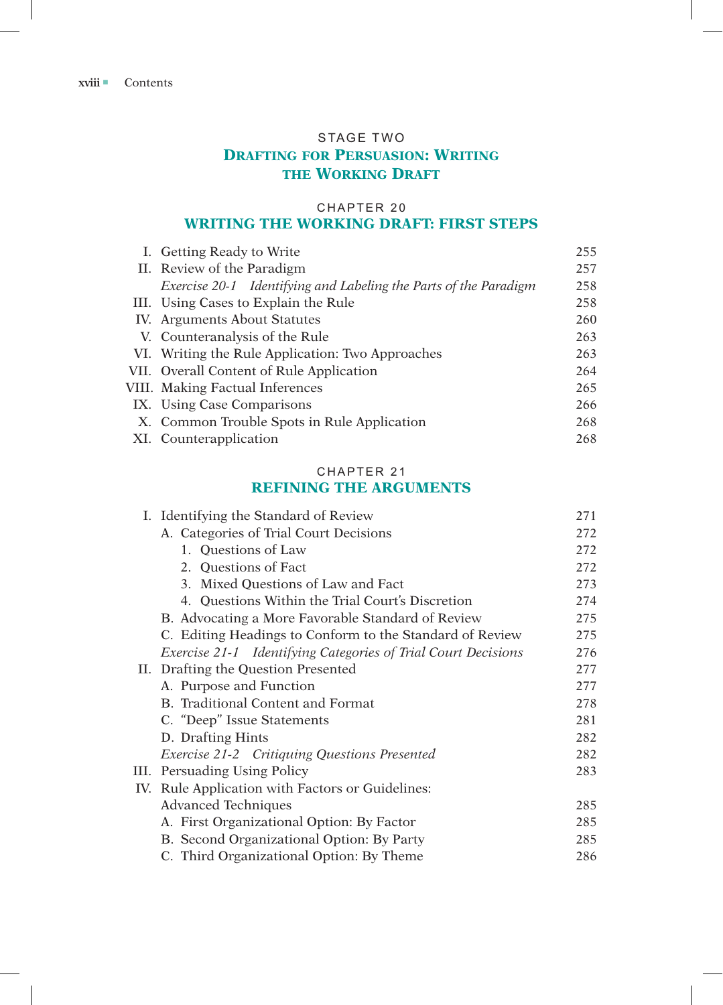## STAGE TWO **Drafting for Persuasion: Writing THE WORKING DRAFT**

## CHAPTER 20 **WRITING THE WORKING DRAFT: FIRST STEPS**

| I. Getting Ready to Write                                        |     |  |  |
|------------------------------------------------------------------|-----|--|--|
| II. Review of the Paradigm                                       |     |  |  |
| Exercise 20-1 Identifying and Labeling the Parts of the Paradigm | 258 |  |  |
| III. Using Cases to Explain the Rule                             | 258 |  |  |
| IV. Arguments About Statutes                                     |     |  |  |
| V. Counteranalysis of the Rule                                   |     |  |  |
| VI. Writing the Rule Application: Two Approaches                 | 263 |  |  |
| VII. Overall Content of Rule Application                         |     |  |  |
| VIII. Making Factual Inferences                                  |     |  |  |
| IX. Using Case Comparisons                                       | 266 |  |  |
| X. Common Trouble Spots in Rule Application                      | 268 |  |  |
| XI. Counterapplication                                           | 268 |  |  |

## CHAPTER 21 **REFINING THE ARGUMENTS**

| I. Identifying the Standard of Review                         | 271 |  |  |
|---------------------------------------------------------------|-----|--|--|
| A. Categories of Trial Court Decisions                        | 272 |  |  |
| 1. Questions of Law                                           | 272 |  |  |
| 2. Ouestions of Fact                                          | 272 |  |  |
| 3. Mixed Questions of Law and Fact                            | 273 |  |  |
| 4. Questions Within the Trial Court's Discretion              | 274 |  |  |
| B. Advocating a More Favorable Standard of Review             | 275 |  |  |
| C. Editing Headings to Conform to the Standard of Review      | 275 |  |  |
| Exercise 21-1 Identifying Categories of Trial Court Decisions | 276 |  |  |
| II. Drafting the Question Presented                           | 277 |  |  |
| A. Purpose and Function                                       | 277 |  |  |
| <b>B.</b> Traditional Content and Format                      | 278 |  |  |
| C. "Deep" Issue Statements                                    | 281 |  |  |
| D. Drafting Hints                                             | 282 |  |  |
| Exercise 21-2 Critiquing Questions Presented                  | 282 |  |  |
| III. Persuading Using Policy                                  | 283 |  |  |
| IV. Rule Application with Factors or Guidelines:              |     |  |  |
| <b>Advanced Techniques</b>                                    | 285 |  |  |
| A. First Organizational Option: By Factor                     | 285 |  |  |
| B. Second Organizational Option: By Party                     | 285 |  |  |
| C. Third Organizational Option: By Theme                      | 286 |  |  |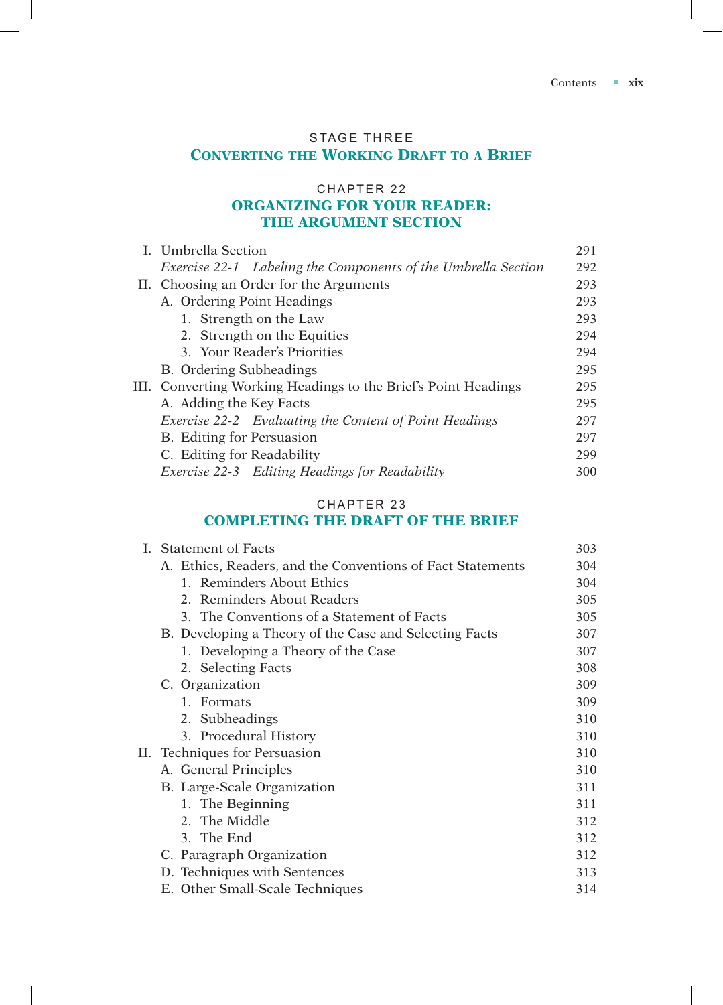# STAGE THREE **Converting the Working Draft to a Brief**

## CHAPTER 22 **ORGANIZING FOR YOUR READER: THE ARGUMENT SECTION**

| L. Umbrella Section                                            | 291 |
|----------------------------------------------------------------|-----|
| Exercise 22-1 Labeling the Components of the Umbrella Section  | 292 |
| II. Choosing an Order for the Arguments                        | 293 |
| A. Ordering Point Headings                                     | 293 |
| 1. Strength on the Law                                         | 293 |
| 2. Strength on the Equities                                    | 294 |
| 3. Your Reader's Priorities                                    | 294 |
| B. Ordering Subheadings                                        | 295 |
| III. Converting Working Headings to the Brief's Point Headings | 295 |
| A. Adding the Key Facts                                        | 295 |
| Exercise 22-2 Evaluating the Content of Point Headings         | 297 |
| B. Editing for Persuasion                                      | 297 |
| C. Editing for Readability                                     | 299 |
| Exercise 22-3 Editing Headings for Readability                 | 300 |

### CHAPTER 23

## **COMPLETING THE DRAFT OF THE BRIEF**

| L. | <b>Statement of Facts</b>                                  | 303 |
|----|------------------------------------------------------------|-----|
|    | A. Ethics, Readers, and the Conventions of Fact Statements | 304 |
|    | 1. Reminders About Ethics                                  | 304 |
|    | 2. Reminders About Readers                                 | 305 |
|    | 3. The Conventions of a Statement of Facts                 | 305 |
|    | B. Developing a Theory of the Case and Selecting Facts     | 307 |
|    | 1. Developing a Theory of the Case                         | 307 |
|    | 2. Selecting Facts                                         | 308 |
|    | C. Organization                                            | 309 |
|    | 1. Formats                                                 | 309 |
|    | 2. Subheadings                                             | 310 |
|    | 3. Procedural History                                      | 310 |
|    | II. Techniques for Persuasion                              | 310 |
|    | A. General Principles                                      | 310 |
|    | B. Large-Scale Organization                                | 311 |
|    | 1. The Beginning                                           | 311 |
|    | 2. The Middle                                              | 312 |
|    | 3. The End                                                 | 312 |
|    | C. Paragraph Organization                                  | 312 |
|    | D. Techniques with Sentences                               | 313 |
|    | E. Other Small-Scale Techniques                            | 314 |